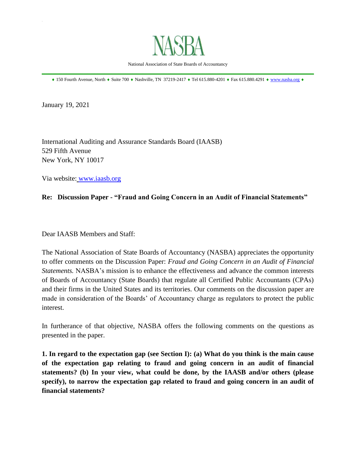

National Association of State Boards of Accountancy \_\_\_\_\_\_\_\_\_\_\_\_\_\_\_\_\_\_\_\_\_\_\_\_\_\_\_\_\_\_\_\_\_\_\_\_\_\_\_\_\_\_\_\_\_\_\_\_\_\_\_\_\_\_\_\_\_\_\_\_\_\_\_\_\_\_\_\_\_\_\_\_\_\_\_\_\_\_

 $\bullet$  150 Fourth Avenue, North  $\bullet$  Suite 700  $\bullet$  Nashville, TN 37219-2417  $\bullet$  Tel 615.880-4201  $\bullet$  Fax 615.880.4291  $\bullet$  [www.nasba.org](http://www.nasba.org/)  $\bullet$ 

January 19, 2021

International Auditing and Assurance Standards Board (IAASB) 529 Fifth Avenue New York, NY 10017

Via website: [www.iaasb.org](http://www.iaasb.org/)

#### **Re: Discussion Paper - "Fraud and Going Concern in an Audit of Financial Statements"**

Dear IAASB Members and Staff:

The National Association of State Boards of Accountancy (NASBA) appreciates the opportunity to offer comments on the Discussion Paper: *Fraud and Going Concern in an Audit of Financial Statements.* NASBA's mission is to enhance the effectiveness and advance the common interests of Boards of Accountancy (State Boards) that regulate all Certified Public Accountants (CPAs) and their firms in the United States and its territories. Our comments on the discussion paper are made in consideration of the Boards' of Accountancy charge as regulators to protect the public interest.

In furtherance of that objective, NASBA offers the following comments on the questions as presented in the paper.

**1. In regard to the expectation gap (see Section I): (a) What do you think is the main cause of the expectation gap relating to fraud and going concern in an audit of financial statements? (b) In your view, what could be done, by the IAASB and/or others (please specify), to narrow the expectation gap related to fraud and going concern in an audit of financial statements?**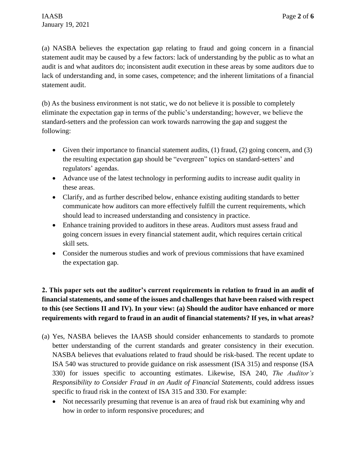(a) NASBA believes the expectation gap relating to fraud and going concern in a financial statement audit may be caused by a few factors: lack of understanding by the public as to what an audit is and what auditors do; inconsistent audit execution in these areas by some auditors due to lack of understanding and, in some cases, competence; and the inherent limitations of a financial statement audit.

(b) As the business environment is not static, we do not believe it is possible to completely eliminate the expectation gap in terms of the public's understanding; however, we believe the standard-setters and the profession can work towards narrowing the gap and suggest the following:

- Given their importance to financial statement audits, (1) fraud, (2) going concern, and (3) the resulting expectation gap should be "evergreen" topics on standard-setters' and regulators' agendas.
- Advance use of the latest technology in performing audits to increase audit quality in these areas.
- Clarify, and as further described below, enhance existing auditing standards to better communicate how auditors can more effectively fulfill the current requirements, which should lead to increased understanding and consistency in practice.
- Enhance training provided to auditors in these areas. Auditors must assess fraud and going concern issues in every financial statement audit, which requires certain critical skill sets.
- Consider the numerous studies and work of previous commissions that have examined the expectation gap.

# **2. This paper sets out the auditor's current requirements in relation to fraud in an audit of financial statements, and some of the issues and challenges that have been raised with respect to this (see Sections II and IV). In your view: (a) Should the auditor have enhanced or more requirements with regard to fraud in an audit of financial statements? If yes, in what areas?**

- (a) Yes, NASBA believes the IAASB should consider enhancements to standards to promote better understanding of the current standards and greater consistency in their execution. NASBA believes that evaluations related to fraud should be risk-based. The recent update to ISA 540 was structured to provide guidance on risk assessment (ISA 315) and response (ISA 330) for issues specific to accounting estimates. Likewise, ISA 240, *The Auditor's Responsibility to Consider Fraud in an Audit of Financial Statements,* could address issues specific to fraud risk in the context of ISA 315 and 330. For example:
	- Not necessarily presuming that revenue is an area of fraud risk but examining why and how in order to inform responsive procedures; and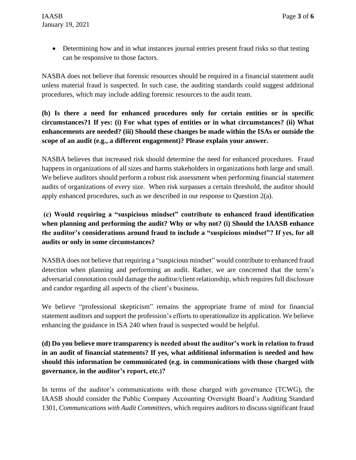• Determining how and in what instances journal entries present fraud risks so that testing can be responsive to those factors.

NASBA does not believe that forensic resources should be required in a financial statement audit unless material fraud is suspected. In such case, the auditing standards could suggest additional procedures, which may include adding forensic resources to the audit team.

# **(b) Is there a need for enhanced procedures only for certain entities or in specific circumstances?1 If yes: (i) For what types of entities or in what circumstances? (ii) What enhancements are needed? (iii) Should these changes be made within the ISAs or outside the scope of an audit (e.g., a different engagement)? Please explain your answer.**

NASBA believes that increased risk should determine the need for enhanced procedures. Fraud happens in organizations of all sizes and harms stakeholders in organizations both large and small. We believe auditors should perform a robust risk assessment when performing financial statement audits of organizations of every size. When risk surpasses a certain threshold, the auditor should apply enhanced procedures, such as we described in our response to Ouestion  $2(a)$ .

# **(c) Would requiring a "suspicious mindset" contribute to enhanced fraud identification when planning and performing the audit? Why or why not? (i) Should the IAASB enhance the auditor's considerations around fraud to include a "suspicious mindset"? If yes, for all audits or only in some circumstances?**

NASBA does not believe that requiring a "suspicious mindset" would contribute to enhanced fraud detection when planning and performing an audit. Rather, we are concerned that the term's adversarial connotation could damage the auditor/client relationship, which requires full disclosure and candor regarding all aspects of the client's business.

We believe "professional skepticism" remains the appropriate frame of mind for financial statement auditors and support the profession's efforts to operationalize its application. We believe enhancing the guidance in ISA 240 when fraud is suspected would be helpful.

## **(d) Do you believe more transparency is needed about the auditor's work in relation to fraud in an audit of financial statements? If yes, what additional information is needed and how should this information be communicated (e.g. in communications with those charged with governance, in the auditor's report, etc.)?**

In terms of the auditor's communications with those charged with governance (TCWG), the IAASB should consider the Public Company Accounting Oversight Board's Auditing Standard 1301, *Communications with Audit Committees,* which requires auditors to discuss significant fraud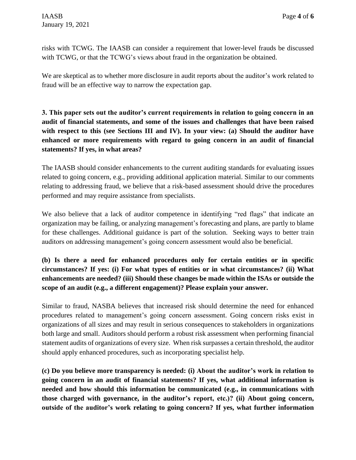risks with TCWG. The IAASB can consider a requirement that lower-level frauds be discussed with TCWG, or that the TCWG's views about fraud in the organization be obtained.

We are skeptical as to whether more disclosure in audit reports about the auditor's work related to fraud will be an effective way to narrow the expectation gap.

**3. This paper sets out the auditor's current requirements in relation to going concern in an audit of financial statements, and some of the issues and challenges that have been raised with respect to this (see Sections III and IV). In your view: (a) Should the auditor have enhanced or more requirements with regard to going concern in an audit of financial statements? If yes, in what areas?**

The IAASB should consider enhancements to the current auditing standards for evaluating issues related to going concern, e.g., providing additional application material. Similar to our comments relating to addressing fraud, we believe that a risk-based assessment should drive the procedures performed and may require assistance from specialists.

We also believe that a lack of auditor competence in identifying "red flags" that indicate an organization may be failing, or analyzing management's forecasting and plans, are partly to blame for these challenges. Additional guidance is part of the solution. Seeking ways to better train auditors on addressing management's going concern assessment would also be beneficial.

# **(b) Is there a need for enhanced procedures only for certain entities or in specific circumstances? If yes: (i) For what types of entities or in what circumstances? (ii) What enhancements are needed? (iii) Should these changes be made within the ISAs or outside the scope of an audit (e.g., a different engagement)? Please explain your answer.**

Similar to fraud, NASBA believes that increased risk should determine the need for enhanced procedures related to management's going concern assessment. Going concern risks exist in organizations of all sizes and may result in serious consequences to stakeholders in organizations both large and small. Auditors should perform a robust risk assessment when performing financial statement audits of organizations of every size. When risk surpasses a certain threshold, the auditor should apply enhanced procedures, such as incorporating specialist help.

**(c) Do you believe more transparency is needed: (i) About the auditor's work in relation to going concern in an audit of financial statements? If yes, what additional information is needed and how should this information be communicated (e.g., in communications with those charged with governance, in the auditor's report, etc.)? (ii) About going concern, outside of the auditor's work relating to going concern? If yes, what further information**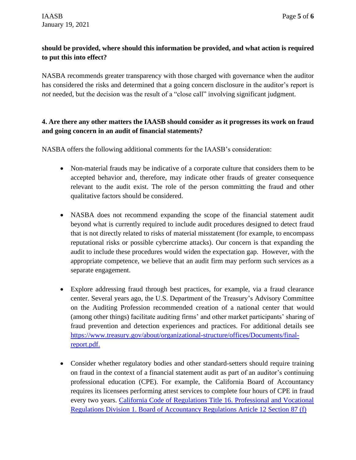# **should be provided, where should this information be provided, and what action is required to put this into effect?**

NASBA recommends greater transparency with those charged with governance when the auditor has considered the risks and determined that a going concern disclosure in the auditor's report is *not* needed, but the decision was the result of a "close call" involving significant judgment.

### **4. Are there any other matters the IAASB should consider as it progresses its work on fraud and going concern in an audit of financial statements?**

NASBA offers the following additional comments for the IAASB's consideration:

- Non-material frauds may be indicative of a corporate culture that considers them to be accepted behavior and, therefore, may indicate other frauds of greater consequence relevant to the audit exist. The role of the person committing the fraud and other qualitative factors should be considered.
- NASBA does not recommend expanding the scope of the financial statement audit beyond what is currently required to include audit procedures designed to detect fraud that is not directly related to risks of material misstatement (for example, to encompass reputational risks or possible cybercrime attacks). Our concern is that expanding the audit to include these procedures would widen the expectation gap. However, with the appropriate competence, we believe that an audit firm may perform such services as a separate engagement.
- Explore addressing fraud through best practices, for example, via a fraud clearance center. Several years ago, the U.S. Department of the Treasury's Advisory Committee on the Auditing Profession recommended creation of a national center that would (among other things) facilitate auditing firms' and other market participants' sharing of fraud prevention and detection experiences and practices. For additional details see [https://www.treasury.gov/about/organizational-structure/offices/Documents/final](https://www.treasury.gov/about/organizational-structure/offices/Documents/final-report.pdf)[report.pdf.](https://www.treasury.gov/about/organizational-structure/offices/Documents/final-report.pdf)
- Consider whether regulatory bodies and other standard-setters should require training on fraud in the context of a financial statement audit as part of an auditor's continuing professional education (CPE). For example, the California Board of Accountancy requires its licensees performing attest services to complete four hours of CPE in fraud every two years. [California Code of Regulations Title 16. Professional and Vocational](https://www.dca.ca.gov/cba/about-cba/regulations.shtml)  [Regulations Division 1. Board of Accountancy Regulations Article 12 Section 87 \(f\)](https://www.dca.ca.gov/cba/about-cba/regulations.shtml)